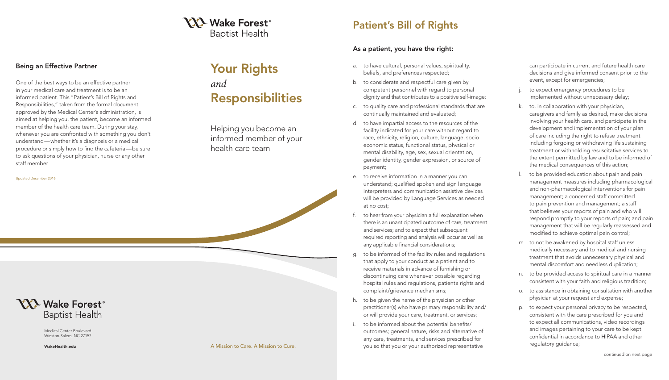# Your Rights *and* Responsibilities

Helping you become an informed member of your health care team

**NA** Wake Forest<sup>®</sup> **Baptist Health** 

#### Being an Effective Partner

One of the best ways to be an effective partner in your medical care and treatment is to be an informed patient. This "Patient's Bill of Rights and Responsibilities," taken from the formal document approved by the Medical Center's administration, is aimed at helping you, the patient, become an informed member of the health care team. During your stay, whenever you are confronted with something you don't understand —whether it's a diagnosis or a medical procedure or simply how to find the cafeteria —be sure to ask questions of your physician, nurse or any other staff member.

to expect emergency procedures to be implemented without unnecessary delay;

## Patient's Bill of Rights

### As a patient, you have the right:

can participate in current and future health care decisions and give informed consent prior to the event, except for emergencies;

k. to, in collaboration with your physician, caregivers and family as desired, make decisions involving your health care, and participate in the development and implementation of your plan of care including the right to refuse treatment including forgoing or withdrawing life sustaining treatment or withholding resuscitative services to the extent permitted by law and to be informed of the medical consequences of this action;

l. to be provided education about pain and pain management measures including pharmacological and non-pharmacological interventions for pain management; a concerned staff committed to pain prevention and management; a staff that believes your reports of pain and who will respond promptly to your reports of pain; and pain management that will be regularly reassessed and modified to achieve optimal pain control;

m. to not be awakened by hospital staff unless medically necessary and to medical and nursing treatment that avoids unnecessary physical and mental discomfort and needless duplication;

n. to be provided access to spiritual care in a manner consistent with your faith and religious tradition;

**Baptist Health** Medical Center Boulevard

**YXX Wake Forest<sup>®</sup>** 

o. to assistance in obtaining consultation with another physician at your request and expense;

p. to expect your personal privacy to be respected, consistent with the care prescribed for you and to expect all communications, video recordings and images pertaining to your care to be kept confidential in accordance to HIPAA and other regulatory guidance;

- a. to have cultural, personal values, spirituality, beliefs, and preferences respected;
- b. to considerate and respectful care given by competent personnel with regard to personal dignity and that contributes to a positive self-image;
- c. to quality care and professional standards that are continually maintained and evaluated;
- d. to have impartial access to the resources of the facility indicated for your care without regard to race, ethnicity, religion, culture, language, socio economic status, functional status, physical or mental disability, age, sex, sexual orientation, gender identity, gender expression, or source of payment;
- e. to receive information in a manner you can understand; qualified spoken and sign language interpreters and communication assistive devices will be provided by Language Services as needed at no cost;
- f. to hear from your physician a full explanation when there is an unanticipated outcome of care, treatment and services; and to expect that subsequent required reporting and analysis will occur as well as any applicable financial considerations;
- g. to be informed of the facility rules and regulations that apply to your conduct as a patient and to receive materials in advance of furnishing or discontinuing care whenever possible regarding hospital rules and regulations, patient's rights and complaint/grievance mechanisms;
- h. to be given the name of the physician or other practitioner(s) who have primary responsibility and/ or will provide your care, treatment, or services;
- to be informed about the potential benefits/ outcomes; general nature, risks and alternative of any care, treatments, and services prescribed for you so that you or your authorized representative

Winston-Salem, NC 27157

Updated December 2016